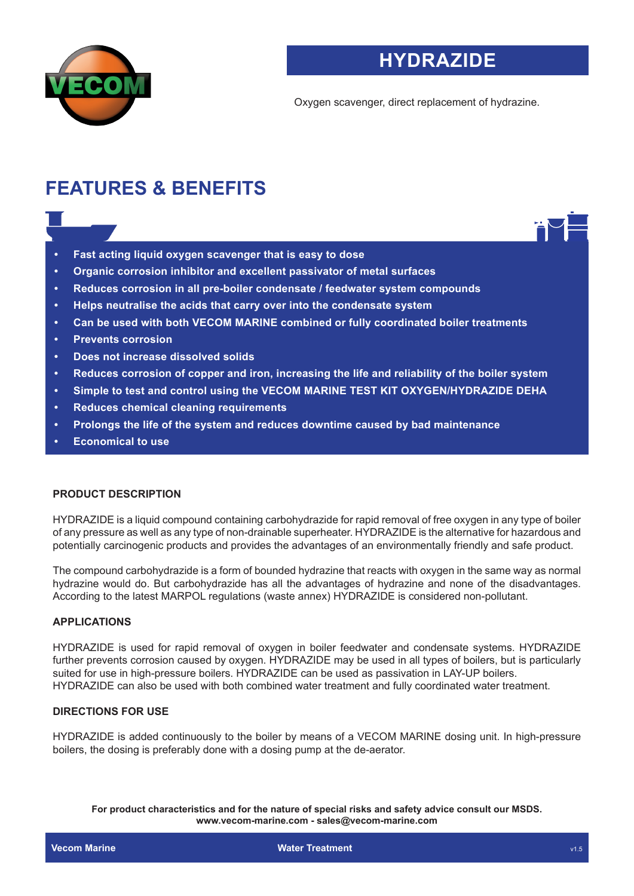

# **HYDRAZIDE**

Oxygen scavenger, direct replacement of hydrazine.

# **FEATURES & BENEFITS**

- **• Fast acting liquid oxygen scavenger that is easy to dose**
- **• Organic corrosion inhibitor and excellent passivator of metal surfaces**
- **• Reduces corrosion in all pre-boiler condensate / feedwater system compounds**
- **• Helps neutralise the acids that carry over into the condensate system**
- **• Can be used with both VECOM MARINE combined or fully coordinated boiler treatments**
- **• Prevents corrosion**
- **• Does not increase dissolved solids**
- **• Reduces corrosion of copper and iron, increasing the life and reliability of the boiler system**
- **• Simple to test and control using the VECOM MARINE TEST KIT OXYGEN/HYDRAZIDE DEHA**
- **• Reduces chemical cleaning requirements**
- **• Prolongs the life of the system and reduces downtime caused by bad maintenance**
- **• Economical to use**

## **PRODUCT DESCRIPTION**

HYDRAZIDE is a liquid compound containing carbohydrazide for rapid removal of free oxygen in any type of boiler of any pressure as well as any type of non-drainable superheater. HYDRAZIDE is the alternative for hazardous and potentially carcinogenic products and provides the advantages of an environmentally friendly and safe product.

The compound carbohydrazide is a form of bounded hydrazine that reacts with oxygen in the same way as normal hydrazine would do. But carbohydrazide has all the advantages of hydrazine and none of the disadvantages. According to the latest MARPOL regulations (waste annex) HYDRAZIDE is considered non-pollutant.

## **APPLICATIONS**

HYDRAZIDE is used for rapid removal of oxygen in boiler feedwater and condensate systems. HYDRAZIDE further prevents corrosion caused by oxygen. HYDRAZIDE may be used in all types of boilers, but is particularly suited for use in high-pressure boilers. HYDRAZIDE can be used as passivation in LAY-UP boilers. HYDRAZIDE can also be used with both combined water treatment and fully coordinated water treatment.

#### **DIRECTIONS FOR USE**

HYDRAZIDE is added continuously to the boiler by means of a VECOM MARINE dosing unit. In high-pressure boilers, the dosing is preferably done with a dosing pump at the de-aerator.

**For product characteristics and for the nature of special risks and safety advice consult our MSDS. www.vecom-marine.com - sales@vecom-marine.com**

**Vecom Marine Water Treatment and Water Treatment and Water Treatment and Water Treatment** and Water Treatment and Water Treatment and Water Treatment and Water Treatment and Water Treatment and Water Treatment and Water T